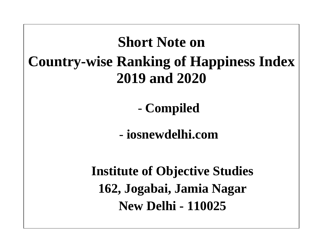# **Short Note on Country-wise Ranking of Happiness Index 2019 and 2020**

- **Compiled** 

- **iosnewdelhi.com**

**Institute of Objective Studies 162, Jogabai, Jamia Nagar New Delhi - 110025**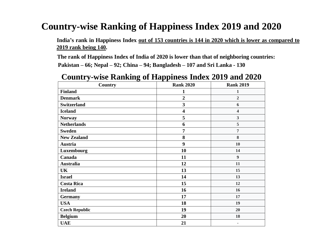**India's rank in Happiness Index out of 153 countries is 144 in 2020 which is lower as compared to 2019 rank being 140.**

 **The rank of Happiness Index of India of 2020 is lower than that of neighboring countries: Pakistan – 66; Nepal – 92; China – 94; Bangladesh – 107 and Sri Lanka - 130**

| <b>Country</b>        | <b>Rank 2020</b>        | <b>Rank 2019</b>         |
|-----------------------|-------------------------|--------------------------|
| <b>Finland</b>        | 1                       | 1                        |
| <b>Denmark</b>        | $\overline{2}$          | $\overline{2}$           |
| <b>Switzerland</b>    | $\overline{\mathbf{3}}$ | 6                        |
| <b>Iceland</b>        | $\overline{\mathbf{4}}$ | 4                        |
| <b>Norway</b>         | 5                       | 3                        |
| <b>Netherlands</b>    | 6                       | 5                        |
| <b>Sweden</b>         | $\overline{7}$          | $\overline{7}$           |
| <b>New Zealand</b>    | 8                       | 8                        |
| Austria               | 9                       | 10                       |
| Luxembourg            | 10                      | 14                       |
| Canada                | 11                      | 9                        |
| <b>Australia</b>      | 12                      | 11                       |
| UK                    | 13                      | 15                       |
| <b>Israel</b>         | 14                      | 13                       |
| <b>Costa Rica</b>     | 15                      | 12                       |
| <b>Ireland</b>        | 16                      | 16                       |
| <b>Germany</b>        | 17                      | 17                       |
| <b>USA</b>            | 18                      | 19                       |
| <b>Czech Republic</b> | 19                      | 20                       |
| <b>Belgium</b>        | 20                      | 18                       |
| <b>UAE</b>            | 21                      | $\overline{\phantom{0}}$ |

#### **Country-wise Ranking of Happiness Index 2019 and 2020**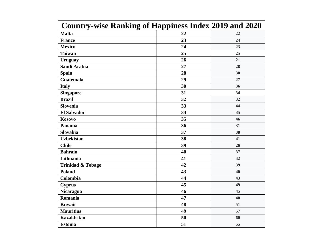| <b>Country-wise Ranking of Happiness Index 2019 and 2020</b> |    |    |  |
|--------------------------------------------------------------|----|----|--|
| <b>Malta</b>                                                 | 22 | 22 |  |
| <b>France</b>                                                | 23 | 24 |  |
| <b>Mexico</b>                                                | 24 | 23 |  |
| <b>Taiwan</b>                                                | 25 | 25 |  |
| <b>Uruguay</b>                                               | 26 | 21 |  |
| Saudi Arabia                                                 | 27 | 28 |  |
| <b>Spain</b>                                                 | 28 | 30 |  |
| <b>Guatemala</b>                                             | 29 | 27 |  |
| <b>Italy</b>                                                 | 30 | 36 |  |
| <b>Singapore</b>                                             | 31 | 34 |  |
| <b>Brazil</b>                                                | 32 | 32 |  |
| <b>Slovenia</b>                                              | 33 | 44 |  |
| <b>El Salvador</b>                                           | 34 | 35 |  |
| <b>Kosovo</b>                                                | 35 | 46 |  |
| Panama                                                       | 36 | 31 |  |
| <b>Slovakia</b>                                              | 37 | 38 |  |
| <b>Uzbekistan</b>                                            | 38 | 41 |  |
| <b>Chile</b>                                                 | 39 | 26 |  |
| <b>Bahrain</b>                                               | 40 | 37 |  |
| Lithuania                                                    | 41 | 42 |  |
| <b>Trinidad &amp; Tobago</b>                                 | 42 | 39 |  |
| <b>Poland</b>                                                | 43 | 40 |  |
| Colombia                                                     | 44 | 43 |  |
| <b>Cyprus</b>                                                | 45 | 49 |  |
| <b>Nicaragua</b>                                             | 46 | 45 |  |
| Romania                                                      | 47 | 48 |  |
| <b>Kuwait</b>                                                | 48 | 51 |  |
| <b>Mauritius</b>                                             | 49 | 57 |  |
| <b>Kazakhstan</b>                                            | 50 | 60 |  |
| <b>Estonia</b>                                               | 51 | 55 |  |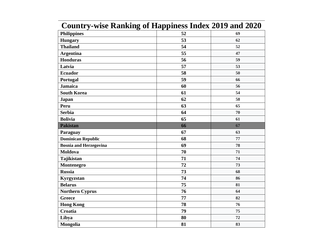| Counti y-wise Kanking of Happiness Hiuex 2017 and 2020 |    |
|--------------------------------------------------------|----|
| 52                                                     | 69 |
| 53                                                     | 62 |
| 54                                                     | 52 |
| 55                                                     | 47 |
| 56                                                     | 59 |
| 57                                                     | 53 |
| 58                                                     | 50 |
| 59                                                     | 66 |
| 60                                                     | 56 |
| 61                                                     | 54 |
| 62                                                     | 58 |
| 63                                                     | 65 |
| 64                                                     | 70 |
| 65                                                     | 61 |
| 66                                                     | 67 |
| 67                                                     | 63 |
| 68                                                     | 77 |
| 69                                                     | 78 |
| 70                                                     | 71 |
| 71                                                     | 74 |
| 72                                                     | 73 |
| 73                                                     | 68 |
| 74                                                     | 86 |
| 75                                                     | 81 |
| 76                                                     | 64 |
| 77                                                     | 82 |
| 78                                                     | 76 |
| 79                                                     | 75 |
| 80                                                     | 72 |
| 81                                                     | 83 |
|                                                        |    |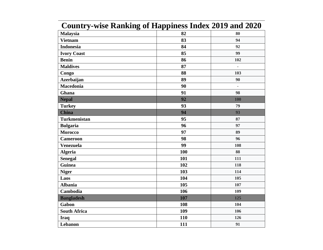| Country-wise Kamsing of Happiness much 2017 and 2020 |                          |
|------------------------------------------------------|--------------------------|
| 82                                                   | 80                       |
| 83                                                   | 94                       |
| 84                                                   | 92                       |
| 85                                                   | 99                       |
| 86                                                   | 102                      |
| 87                                                   | $\overline{\phantom{m}}$ |
| 88                                                   | 103                      |
| 89                                                   | 90                       |
| 90                                                   | $\Box$                   |
| 91                                                   | 98                       |
| 92                                                   | 100                      |
| 93                                                   | 79                       |
| 94                                                   | 93                       |
| 95                                                   | 87                       |
| 96                                                   | 97                       |
| 97                                                   | 89                       |
| 98                                                   | 96                       |
| 99                                                   | 108                      |
| 100                                                  | 88                       |
| 101                                                  | 111                      |
| 102                                                  | 118                      |
| 103                                                  | 114                      |
| 104                                                  | 105                      |
| 105                                                  | 107                      |
| 106                                                  | 109                      |
| 107                                                  | 125                      |
| 108                                                  | 104                      |
| 109                                                  | 106                      |
| 110                                                  | 126                      |
| 111                                                  | 91                       |
|                                                      |                          |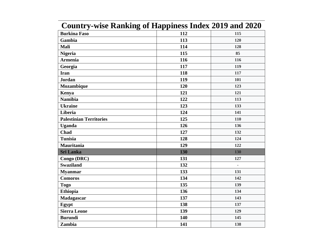| <b>Country-wise Ranking of Happiness Index 2019 and 2020</b> |     |                          |
|--------------------------------------------------------------|-----|--------------------------|
| <b>Burkina Faso</b>                                          | 112 | 115                      |
| Gambia                                                       | 113 | 120                      |
| Mali                                                         | 114 | 128                      |
| <b>Nigeria</b>                                               | 115 | 85                       |
| <b>Armenia</b>                                               | 116 | 116                      |
| Georgia                                                      | 117 | 119                      |
| <b>Iran</b>                                                  | 118 | 117                      |
| <b>Jordan</b>                                                | 119 | 101                      |
| Mozambique                                                   | 120 | 123                      |
| Kenya                                                        | 121 | 121                      |
| <b>Namibia</b>                                               | 122 | 113                      |
| <b>Ukraine</b>                                               | 123 | 133                      |
| Liberia                                                      | 124 | 141                      |
| <b>Palestinian Territories</b>                               | 125 | 110                      |
| <b>Uganda</b>                                                | 126 | 136                      |
| Chad                                                         | 127 | 132                      |
| <b>Tunisia</b>                                               | 128 | 124                      |
| Mauritania                                                   | 129 | 122                      |
| <b>Sri Lanka</b>                                             | 130 | 130                      |
| Congo (DRC)                                                  | 131 | 127                      |
| <b>Swaziland</b>                                             | 132 | $\overline{\phantom{a}}$ |
| <b>Myanmar</b>                                               | 133 | 131                      |
| <b>Comoros</b>                                               | 134 | 142                      |
| <b>Togo</b>                                                  | 135 | 139                      |
| <b>Ethiopia</b>                                              | 136 | 134                      |
| Madagascar                                                   | 137 | 143                      |
| Egypt                                                        | 138 | 137                      |
| <b>Sierra Leone</b>                                          | 139 | 129                      |
| <b>Burundi</b>                                               | 140 | 145                      |
| Zambia                                                       | 141 | 138                      |